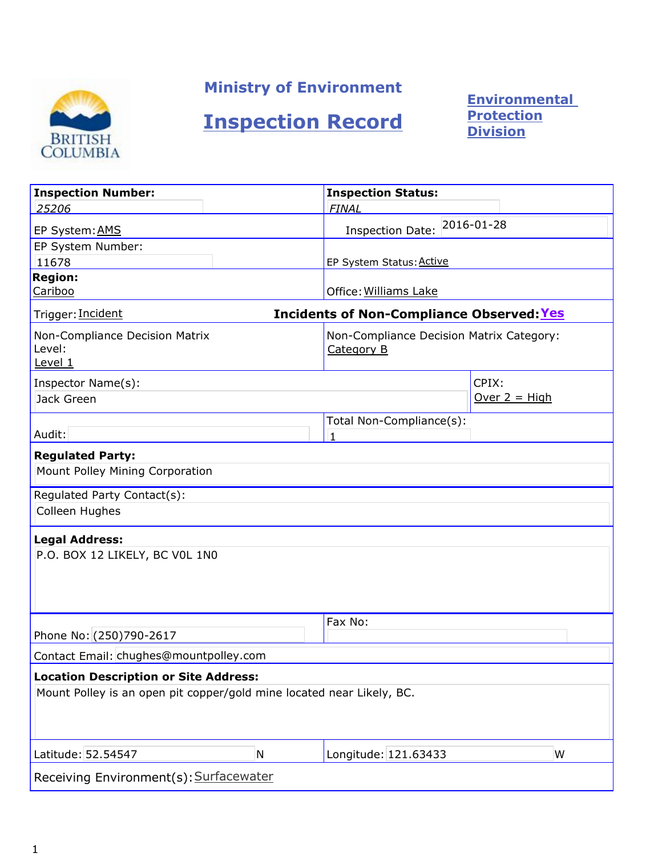

## Ministry of Environment

# Inspection Record

**Environmental** Protection Division

| <b>Inspection Number:</b>                                                                                             |                                                  | <b>Inspection Status:</b>                              |                 |  |  |  |
|-----------------------------------------------------------------------------------------------------------------------|--------------------------------------------------|--------------------------------------------------------|-----------------|--|--|--|
| 25206                                                                                                                 |                                                  | <b>FINAL</b>                                           |                 |  |  |  |
| EP System: AMS                                                                                                        |                                                  | 2016-01-28<br><b>Inspection Date:</b>                  |                 |  |  |  |
| EP System Number:                                                                                                     |                                                  |                                                        |                 |  |  |  |
| 11678                                                                                                                 |                                                  | EP System Status: Active                               |                 |  |  |  |
| <b>Region:</b><br>Cariboo                                                                                             |                                                  | Office: Williams Lake                                  |                 |  |  |  |
| Trigger: Incident                                                                                                     | <b>Incidents of Non-Compliance Observed: Yes</b> |                                                        |                 |  |  |  |
| Non-Compliance Decision Matrix<br>Level:<br>Level 1                                                                   |                                                  | Non-Compliance Decision Matrix Category:<br>Category B |                 |  |  |  |
| Inspector Name(s):                                                                                                    |                                                  |                                                        | CPIX:           |  |  |  |
| Jack Green                                                                                                            |                                                  |                                                        | Over $2 = High$ |  |  |  |
| Audit:                                                                                                                |                                                  | Total Non-Compliance(s):<br>$\mathbf{1}$               |                 |  |  |  |
| <b>Regulated Party:</b><br>Mount Polley Mining Corporation                                                            |                                                  |                                                        |                 |  |  |  |
| Regulated Party Contact(s):<br>Colleen Hughes                                                                         |                                                  |                                                        |                 |  |  |  |
| <b>Legal Address:</b><br>P.O. BOX 12 LIKELY, BC VOL 1N0                                                               |                                                  |                                                        |                 |  |  |  |
| Phone No: (250)790-2617                                                                                               |                                                  | Fax No:                                                |                 |  |  |  |
| Contact Email: chughes@mountpolley.com                                                                                |                                                  |                                                        |                 |  |  |  |
| <b>Location Description or Site Address:</b><br>Mount Polley is an open pit copper/gold mine located near Likely, BC. |                                                  |                                                        |                 |  |  |  |
| Latitude: 52.54547                                                                                                    | N                                                | Longitude: 121.63433                                   | W               |  |  |  |
| Receiving Environment(s): Surfacewater                                                                                |                                                  |                                                        |                 |  |  |  |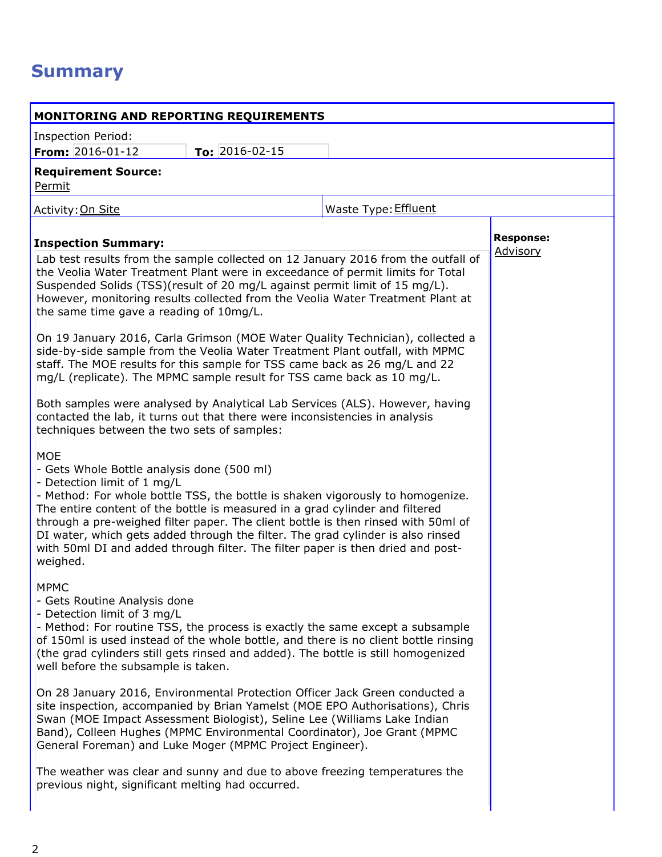## **Summary**

| <b>MONITORING AND REPORTING REQUIREMENTS</b>                                                                                                                                                                                                                                                                                                                                                                                                                                                                                     |                      |  |
|----------------------------------------------------------------------------------------------------------------------------------------------------------------------------------------------------------------------------------------------------------------------------------------------------------------------------------------------------------------------------------------------------------------------------------------------------------------------------------------------------------------------------------|----------------------|--|
| <b>Inspection Period:</b>                                                                                                                                                                                                                                                                                                                                                                                                                                                                                                        |                      |  |
| To: $2016 - 02 - 15$<br><b>From:</b> $2016 - 01 - 12$                                                                                                                                                                                                                                                                                                                                                                                                                                                                            |                      |  |
| <b>Requirement Source:</b><br>Permit                                                                                                                                                                                                                                                                                                                                                                                                                                                                                             |                      |  |
| Activity: On Site                                                                                                                                                                                                                                                                                                                                                                                                                                                                                                                | Waste Type: Effluent |  |
| <b>Inspection Summary:</b>                                                                                                                                                                                                                                                                                                                                                                                                                                                                                                       | <b>Response:</b>     |  |
| Lab test results from the sample collected on 12 January 2016 from the outfall of<br>the Veolia Water Treatment Plant were in exceedance of permit limits for Total<br>Suspended Solids (TSS)(result of 20 mg/L against permit limit of 15 mg/L).<br>However, monitoring results collected from the Veolia Water Treatment Plant at<br>the same time gave a reading of 10mg/L.                                                                                                                                                   | Advisory             |  |
| On 19 January 2016, Carla Grimson (MOE Water Quality Technician), collected a<br>side-by-side sample from the Veolia Water Treatment Plant outfall, with MPMC<br>staff. The MOE results for this sample for TSS came back as 26 mg/L and 22<br>mg/L (replicate). The MPMC sample result for TSS came back as 10 mg/L.                                                                                                                                                                                                            |                      |  |
| Both samples were analysed by Analytical Lab Services (ALS). However, having<br>contacted the lab, it turns out that there were inconsistencies in analysis<br>techniques between the two sets of samples:                                                                                                                                                                                                                                                                                                                       |                      |  |
| <b>MOE</b><br>- Gets Whole Bottle analysis done (500 ml)<br>- Detection limit of 1 mg/L<br>- Method: For whole bottle TSS, the bottle is shaken vigorously to homogenize.<br>The entire content of the bottle is measured in a grad cylinder and filtered<br>through a pre-weighed filter paper. The client bottle is then rinsed with 50ml of<br>DI water, which gets added through the filter. The grad cylinder is also rinsed<br>with 50ml DI and added through filter. The filter paper is then dried and post-<br>weighed. |                      |  |
| <b>MPMC</b><br>- Gets Routine Analysis done<br>- Detection limit of 3 mg/L<br>- Method: For routine TSS, the process is exactly the same except a subsample<br>of 150ml is used instead of the whole bottle, and there is no client bottle rinsing<br>(the grad cylinders still gets rinsed and added). The bottle is still homogenized<br>well before the subsample is taken.                                                                                                                                                   |                      |  |
| On 28 January 2016, Environmental Protection Officer Jack Green conducted a<br>site inspection, accompanied by Brian Yamelst (MOE EPO Authorisations), Chris<br>Swan (MOE Impact Assessment Biologist), Seline Lee (Williams Lake Indian<br>Band), Colleen Hughes (MPMC Environmental Coordinator), Joe Grant (MPMC<br>General Foreman) and Luke Moger (MPMC Project Engineer).                                                                                                                                                  |                      |  |
| The weather was clear and sunny and due to above freezing temperatures the<br>previous night, significant melting had occurred.                                                                                                                                                                                                                                                                                                                                                                                                  |                      |  |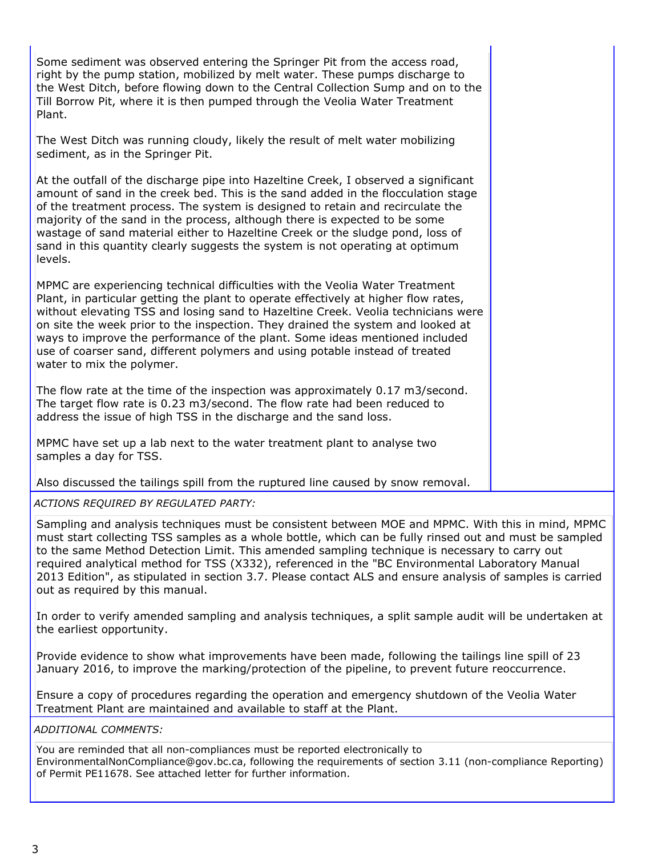Some sediment was observed entering the Springer Pit from the access road, right by the pump station, mobilized by melt water. These pumps discharge to the West Ditch, before flowing down to the Central Collection Sump and on to the Till Borrow Pit, where it is then pumped through the Veolia Water Treatment Plant.

The West Ditch was running cloudy, likely the result of melt water mobilizing sediment, as in the Springer Pit.

At the outfall of the discharge pipe into Hazeltine Creek, I observed a significant amount of sand in the creek bed. This is the sand added in the flocculation stage of the treatment process. The system is designed to retain and recirculate the majority of the sand in the process, although there is expected to be some wastage of sand material either to Hazeltine Creek or the sludge pond, loss of sand in this quantity clearly suggests the system is not operating at optimum levels.

MPMC are experiencing technical difficulties with the Veolia Water Treatment Plant, in particular getting the plant to operate effectively at higher flow rates, without elevating TSS and losing sand to Hazeltine Creek. Veolia technicians were on site the week prior to the inspection. They drained the system and looked at ways to improve the performance of the plant. Some ideas mentioned included use of coarser sand, different polymers and using potable instead of treated water to mix the polymer.

The flow rate at the time of the inspection was approximately 0.17 m3/second. The target flow rate is 0.23 m3/second. The flow rate had been reduced to address the issue of high TSS in the discharge and the sand loss.

MPMC have set up a lab next to the water treatment plant to analyse two samples a day for TSS.

Also discussed the tailings spill from the ruptured line caused by snow removal.

ACTIONS REQUIRED BY REGULATED PARTY:

Sampling and analysis techniques must be consistent between MOE and MPMC. With this in mind, MPMC must start collecting TSS samples as a whole bottle, which can be fully rinsed out and must be sampled to the same Method Detection Limit. This amended sampling technique is necessary to carry out required analytical method for TSS (X332), referenced in the "BC Environmental Laboratory Manual 2013 Edition", as stipulated in section 3.7. Please contact ALS and ensure analysis of samples is carried out as required by this manual.

In order to verify amended sampling and analysis techniques, a split sample audit will be undertaken at the earliest opportunity.

Provide evidence to show what improvements have been made, following the tailings line spill of 23 January 2016, to improve the marking/protection of the pipeline, to prevent future reoccurrence.

Ensure a copy of procedures regarding the operation and emergency shutdown of the Veolia Water Treatment Plant are maintained and available to staff at the Plant.

ADDITIONAL COMMENTS:

You are reminded that all non-compliances must be reported electronically to EnvironmentalNonCompliance@gov.bc.ca, following the requirements of section 3.11 (non-compliance Reporting) of Permit PE11678. See attached letter for further information.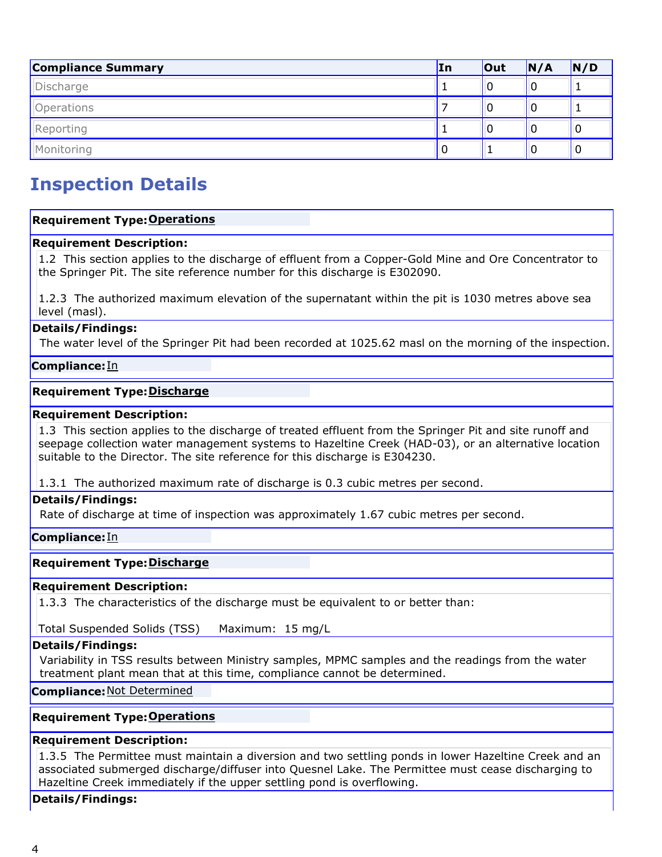| <b>Compliance Summary</b> | In | <b>Out</b> | N/A | N/D |
|---------------------------|----|------------|-----|-----|
| Discharge                 |    |            |     |     |
| Operations                |    |            |     |     |
| Reporting                 |    |            |     | U   |
| Monitoring                | υ  |            | υ   | U   |

## Inspection Details

## **Requirement Type: Operations**

## Requirement Description:

1.2 This section applies to the discharge of effluent from a Copper-Gold Mine and Ore Concentrator to the Springer Pit. The site reference number for this discharge is E302090.

1.2.3 The authorized maximum elevation of the supernatant within the pit is 1030 metres above sea level (masl).

## Details/Findings:

The water level of the Springer Pit had been recorded at 1025.62 masl on the morning of the inspection.

#### Compliance: In

#### Requirement Type: Discharge

#### Requirement Description:

1.3 This section applies to the discharge of treated effluent from the Springer Pit and site runoff and seepage collection water management systems to Hazeltine Creek (HAD-03), or an alternative location suitable to the Director. The site reference for this discharge is E304230.

1.3.1 The authorized maximum rate of discharge is 0.3 cubic metres per second.

## Details/Findings:

Rate of discharge at time of inspection was approximately 1.67 cubic metres per second.

#### Compliance:In

## Requirement Type: Discharge

## Requirement Description:

1.3.3 The characteristics of the discharge must be equivalent to or better than:

Total Suspended Solids (TSS) Maximum: 15 mg/L

## Details/Findings:

Variability in TSS results between Ministry samples, MPMC samples and the readings from the water treatment plant mean that at this time, compliance cannot be determined.

Compliance: Not Determined

#### **Requirement Type: Operations**

#### Requirement Description:

1.3.5 The Permittee must maintain a diversion and two settling ponds in lower Hazeltine Creek and an associated submerged discharge/diffuser into Quesnel Lake. The Permittee must cease discharging to Hazeltine Creek immediately if the upper settling pond is overflowing.

#### Details/Findings: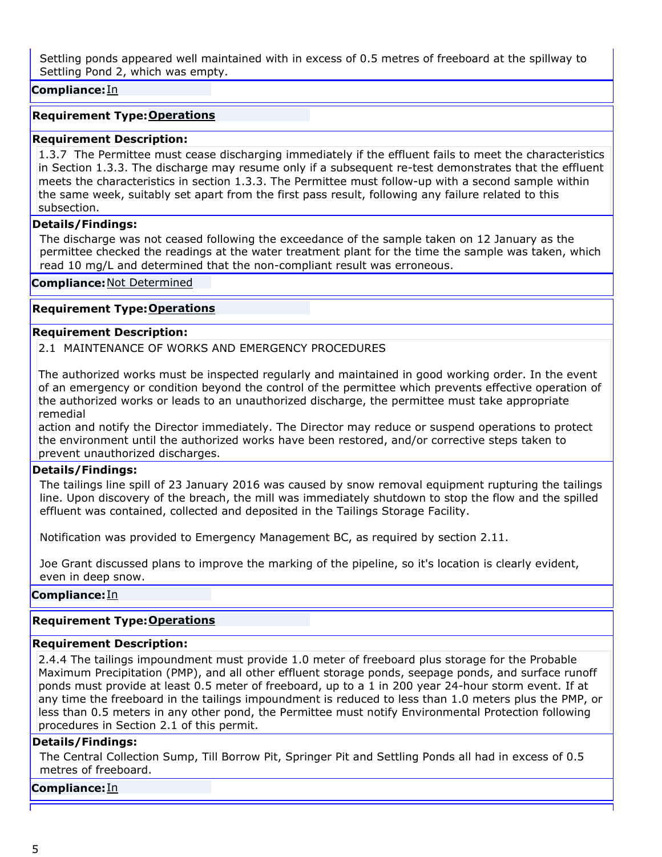Settling ponds appeared well maintained with in excess of 0.5 metres of freeboard at the spillway to Settling Pond 2, which was empty.

## Compliance: In

## **Requirement Type: Operations**

## Requirement Description:

1.3.7 The Permittee must cease discharging immediately if the effluent fails to meet the characteristics in Section 1.3.3. The discharge may resume only if a subsequent re-test demonstrates that the effluent meets the characteristics in section 1.3.3. The Permittee must follow-up with a second sample within the same week, suitably set apart from the first pass result, following any failure related to this subsection.

## Details/Findings:

The discharge was not ceased following the exceedance of the sample taken on 12 January as the permittee checked the readings at the water treatment plant for the time the sample was taken, which read 10 mg/L and determined that the non-compliant result was erroneous.

## Compliance: Not Determined

## **Requirement Type: Operations**

#### Requirement Description:

2.1 MAINTENANCE OF WORKS AND EMERGENCY PROCEDURES

The authorized works must be inspected regularly and maintained in good working order. In the event of an emergency or condition beyond the control of the permittee which prevents effective operation of the authorized works or leads to an unauthorized discharge, the permittee must take appropriate remedial

action and notify the Director immediately. The Director may reduce or suspend operations to protect the environment until the authorized works have been restored, and/or corrective steps taken to prevent unauthorized discharges.

## Details/Findings:

The tailings line spill of 23 January 2016 was caused by snow removal equipment rupturing the tailings line. Upon discovery of the breach, the mill was immediately shutdown to stop the flow and the spilled effluent was contained, collected and deposited in the Tailings Storage Facility.

Notification was provided to Emergency Management BC, as required by section 2.11.

Joe Grant discussed plans to improve the marking of the pipeline, so it's location is clearly evident, even in deep snow.

## Compliance: In

## **Requirement Type: Operations**

## Requirement Description:

2.4.4 The tailings impoundment must provide 1.0 meter of freeboard plus storage for the Probable Maximum Precipitation (PMP), and all other effluent storage ponds, seepage ponds, and surface runoff ponds must provide at least 0.5 meter of freeboard, up to a 1 in 200 year 24-hour storm event. If at any time the freeboard in the tailings impoundment is reduced to less than 1.0 meters plus the PMP, or less than 0.5 meters in any other pond, the Permittee must notify Environmental Protection following procedures in Section 2.1 of this permit.

## Details/Findings:

The Central Collection Sump, Till Borrow Pit, Springer Pit and Settling Ponds all had in excess of 0.5 metres of freeboard.

#### Compliance:In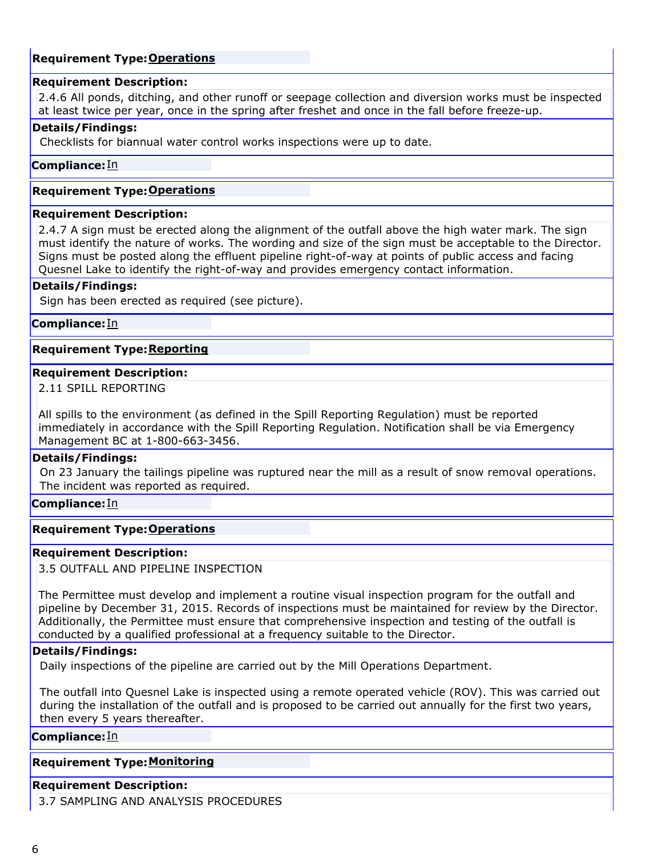## **Requirement Type: Operations**

#### Requirement Description:

2.4.6 All ponds, ditching, and other runoff or seepage collection and diversion works must be inspected at least twice per year, once in the spring after freshet and once in the fall before freeze-up.

#### Details/Findings:

Checklists for biannual water control works inspections were up to date.

#### Compliance: In

#### **Requirement Type: Operations**

#### Requirement Description:

2.4.7 A sign must be erected along the alignment of the outfall above the high water mark. The sign must identify the nature of works. The wording and size of the sign must be acceptable to the Director. Signs must be posted along the effluent pipeline right-of-way at points of public access and facing Quesnel Lake to identify the right-of-way and provides emergency contact information.

#### Details/Findings:

Sign has been erected as required (see picture).

#### Compliance: In

## Requirement Type: <u>Reporting</u>

#### Requirement Description:

2.11 SPILL REPORTING

All spills to the environment (as defined in the Spill Reporting Regulation) must be reported immediately in accordance with the Spill Reporting Regulation. Notification shall be via Emergency Management BC at 1-800-663-3456.

#### Details/Findings:

On 23 January the tailings pipeline was ruptured near the mill as a result of snow removal operations. The incident was reported as required.

#### Compliance: <u>In</u>

## **Requirement Type: Operations**

#### Requirement Description:

3.5 OUTFALL AND PIPELINE INSPECTION

The Permittee must develop and implement a routine visual inspection program for the outfall and pipeline by December 31, 2015. Records of inspections must be maintained for review by the Director. Additionally, the Permittee must ensure that comprehensive inspection and testing of the outfall is conducted by a qualified professional at a frequency suitable to the Director.

## Details/Findings:

Daily inspections of the pipeline are carried out by the Mill Operations Department.

The outfall into Quesnel Lake is inspected using a remote operated vehicle (ROV). This was carried out during the installation of the outfall and is proposed to be carried out annually for the first two years, then every 5 years thereafter.

#### **Compliance:**In

## **Requirement Type: Monitoring**

#### Requirement Description:

3.7 SAMPLING AND ANALYSIS PROCEDURES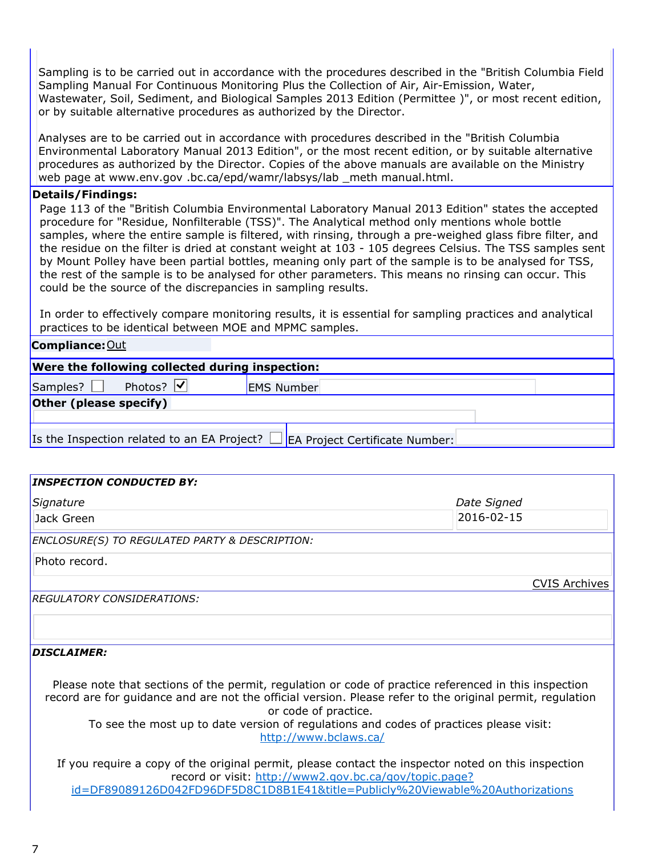Sampling is to be carried out in accordance with the procedures described in the "British Columbia Field Sampling Manual For Continuous Monitoring Plus the Collection of Air, Air-Emission, Water, Wastewater, Soil, Sediment, and Biological Samples 2013 Edition (Permittee )", or most recent edition, or by suitable alternative procedures as authorized by the Director.

Analyses are to be carried out in accordance with procedures described in the "British Columbia Environmental Laboratory Manual 2013 Edition", or the most recent edition, or by suitable alternative procedures as authorized by the Director. Copies of the above manuals are available on the Ministry web page at www.env.gov .bc.ca/epd/wamr/labsys/lab \_meth manual.html.

#### Details/Findings:

Page 113 of the "British Columbia Environmental Laboratory Manual 2013 Edition" states the accepted procedure for "Residue, Nonfilterable (TSS)". The Analytical method only mentions whole bottle samples, where the entire sample is filtered, with rinsing, through a pre-weighed glass fibre filter, and the residue on the filter is dried at constant weight at 103 - 105 degrees Celsius. The TSS samples sent by Mount Polley have been partial bottles, meaning only part of the sample is to be analysed for TSS, the rest of the sample is to be analysed for other parameters. This means no rinsing can occur. This could be the source of the discrepancies in sampling results.

In order to effectively compare monitoring results, it is essential for sampling practices and analytical practices to be identical between MOE and MPMC samples.

## Compliance: Out

| Were the following collected during inspection:                                   |                                          |                   |  |  |
|-----------------------------------------------------------------------------------|------------------------------------------|-------------------|--|--|
| Samples? $\Box$                                                                   | Photos? $\vert \blacktriangleleft \vert$ | <b>EMS Number</b> |  |  |
| Other (please specify)                                                            |                                          |                   |  |  |
|                                                                                   |                                          |                   |  |  |
| Is the Inspection related to an EA Project? $\Box$ EA Project Certificate Number: |                                          |                   |  |  |

## **INSPECTION CONDUCTED BY:**

| Signature                                                 | Date Signed          |
|-----------------------------------------------------------|----------------------|
| Jack Green                                                | 2016-02-15           |
| <b>ENCLOSURE(S) TO REGULATED PARTY &amp; DESCRIPTION:</b> |                      |
| Photo record.                                             |                      |
|                                                           | <b>CVIS Archives</b> |
| <b>REGULATORY CONSIDERATIONS:</b>                         |                      |
|                                                           |                      |
| <b>DISCLAIMER:</b>                                        |                      |

Please note that sections of the permit, regulation or code of practice referenced in this inspection record are for guidance and are not the official version. Please refer to the original permit, regulation or code of practice.

To see the most up to date version of regulations and codes of practices please visit: http://www.bclaws.ca/

If you require a copy of the original permit, please contact the inspector noted on this inspection record or visit: http://www2.gov.bc.ca/gov/topic.page? id=DF89089126D042FD96DF5D8C1D8B1E41&title=Publicly%20Viewable%20Authorizations